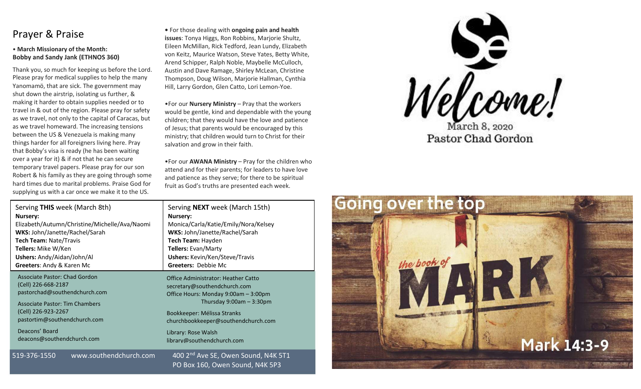# Prayer & Praise

#### • **March Missionary of the Month: Bobby and Sandy Jank (ETHNOS 360)**

Thank you, so much for keeping us before the Lord. Please pray for medical supplies to help the many Yanomamö, that are sick. The government may shut down the airstrip, isolating us further, & making it harder to obtain supplies needed or to travel in & out of the region. Please pray for safety as we travel, not only to the capital of Caracas, but as we travel homeward. The increasing tensions between the US & Venezuela is making many things harder for all foreigners living here. Pray that Bobby's visa is ready (he has been waiting over a year for it) & if not that he can secure temporary travel papers. Please pray for our son Robert & his family as they are going through some hard times due to marital problems. Praise God for supplying us with a car once we make it to the US.

**•** For those dealing with **ongoing pain and health issues**: Tonya Higgs, Ron Robbins, Marjorie Shultz, Eileen McMillan, Rick Tedford, Jean Lundy, Elizabeth von Keitz, Maurice Watson, Steve Yates, Betty White, Arend Schipper, Ralph Noble, Maybelle McCulloch, Austin and Dave Ramage, Shirley McLean, Christine Thompson, Doug Wilson, Marjorie Hallman, Cynthia Hill, Larry Gordon, Glen Catto, Lori Lemon-Yoe.

•For our **Nursery Ministry** – Pray that the workers would be gentle, kind and dependable with the young children; that they would have the love and patience of Jesus; that parents would be encouraged by this ministry; that children would turn to Christ for their salvation and grow in their faith.

•For our **AWANA Ministry** – Pray for the children who attend and for their parents; for leaders to have love and patience as they serve; for there to be spiritual fruit as God's truths are presented each week.

| Serving THIS week (March 8th)                 | Serving NEXT week (March 15th)                  |
|-----------------------------------------------|-------------------------------------------------|
| <b>Nursery:</b>                               | <b>Nursery:</b>                                 |
| Elizabeth/Autumn/Christine/Michelle/Ava/Naomi | Monica/Carla/Katie/Emily/Nora/Kelsey            |
| WKS: John/Janette/Rachel/Sarah                | WKS: John/Janette/Rachel/Sarah                  |
| Tech Team: Nate/Travis                        | Tech Team: Hayden                               |
| <b>Tellers: Mike W/Ken</b>                    | Tellers: Evan/Marty                             |
| Ushers: Andy/Aidan/John/Al                    | <b>Ushers: Kevin/Ken/Steve/Travis</b>           |
| Greeters: Andy & Karen Mc                     | Greeters: Debbie Mc                             |
| <b>Associate Pastor: Chad Gordon</b>          | <b>Office Administrator: Heather Catto</b>      |
| (Cell) 226-668-2187                           | secretary@southendchurch.com                    |
| pastorchad@southendchurch.com                 | Office Hours: Monday 9:00am - 3:00pm            |
| <b>Associate Pastor: Tim Chambers</b>         | Thursday $9:00$ am $-3:30$ pm                   |
| (Cell) 226-923-2267                           | Bookkeeper: Mélissa Stranks                     |
| pastortim@southendchurch.com                  | churchbookkeeper@southendchurch.com             |
| Deacons' Board                                | Library: Rose Walsh                             |
| deacons@southendchurch.com                    | library@southendchurch.com                      |
| 519-376-1550<br>www.southendchurch.com        | 400 2 <sup>nd</sup> Ave SE, Owen Sound, N4K 5T1 |

www.southendchurch.com 400 2"ª Ave SE, Owen Sound, N4K 5T1 PO Box 160, Owen Sound, N4K 5P3



Pastor Chad Gordon